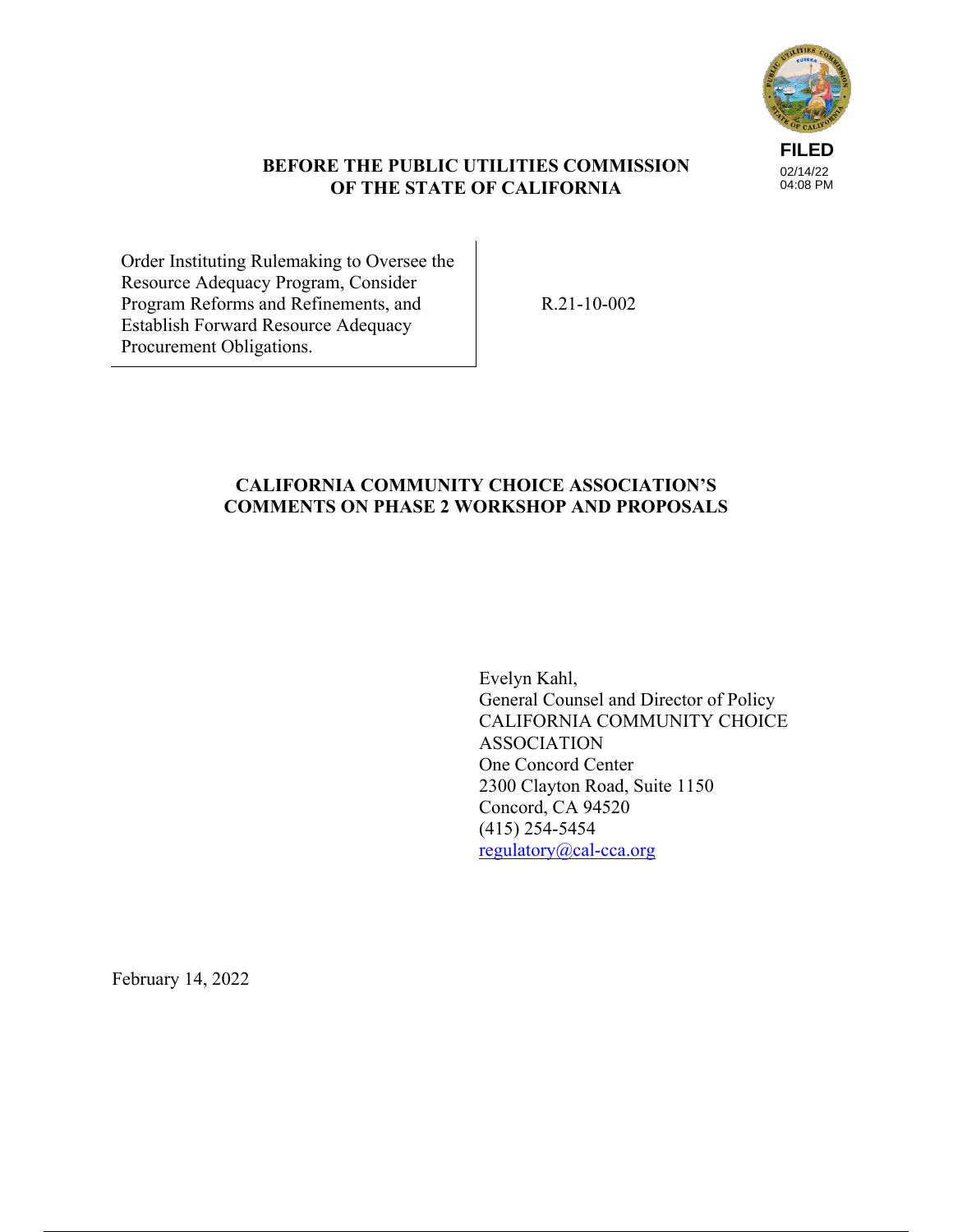

### **BEFORE THE PUBLIC UTILITIES COMMISSION OF THE STATE OF CALIFORNIA**

Order Instituting Rulemaking to Oversee the Resource Adequacy Program, Consider Program Reforms and Refinements, and Establish Forward Resource Adequacy Procurement Obligations.

R.21-10-002

## **CALIFORNIA COMMUNITY CHOICE ASSOCIATION'S COMMENTS ON PHASE 2 WORKSHOP AND PROPOSALS**

Evelyn Kahl, General Counsel and Director of Policy CALIFORNIA COMMUNITY CHOICE ASSOCIATION One Concord Center 2300 Clayton Road, Suite 1150 Concord, CA 94520 (415) 254-5454 regulatory@cal-cca.org

February 14, 2022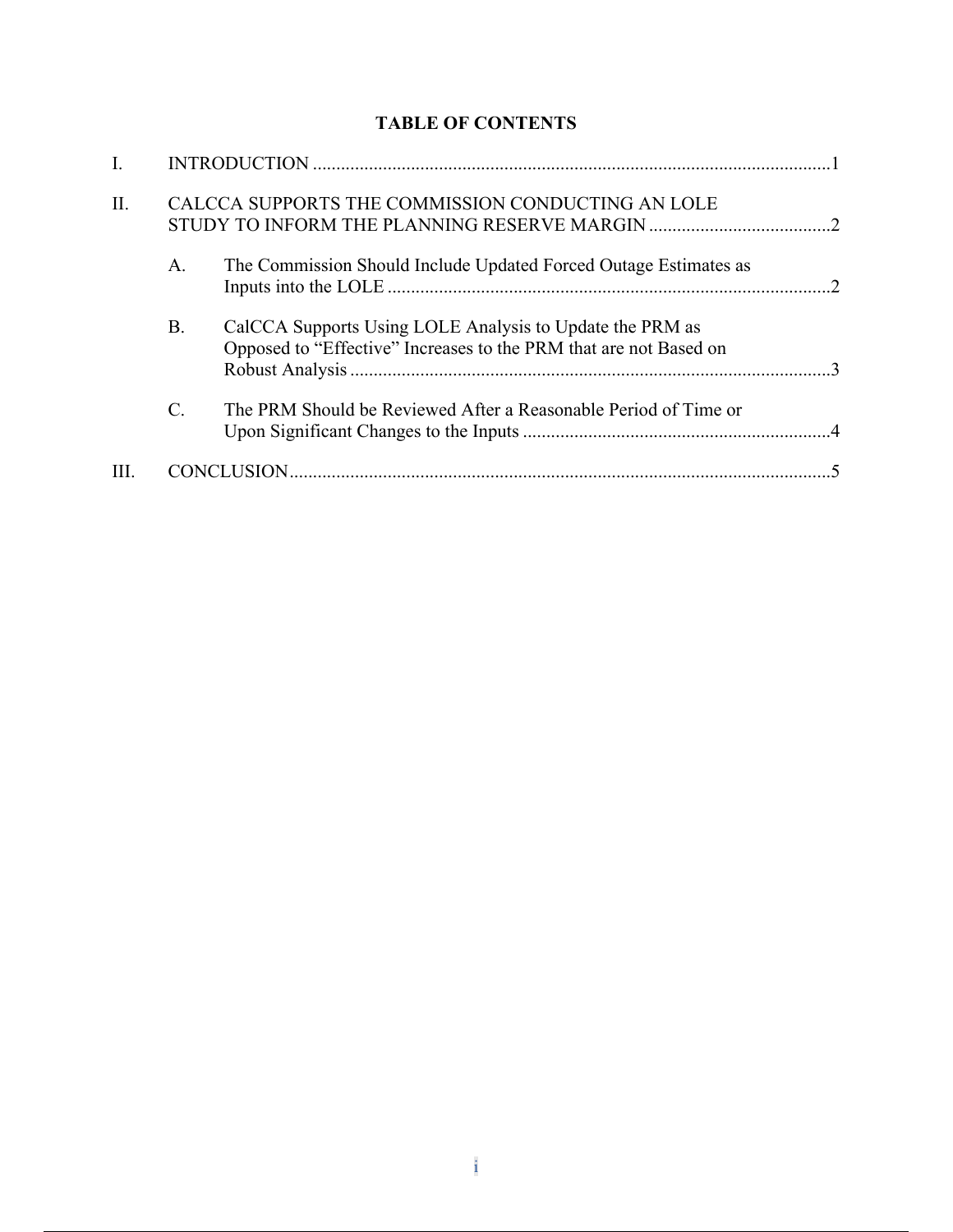# **TABLE OF CONTENTS**

| II.  | CALCCA SUPPORTS THE COMMISSION CONDUCTING AN LOLE |                                                                                                                               |  |
|------|---------------------------------------------------|-------------------------------------------------------------------------------------------------------------------------------|--|
|      | A.                                                | The Commission Should Include Updated Forced Outage Estimates as                                                              |  |
|      | <b>B.</b>                                         | CalCCA Supports Using LOLE Analysis to Update the PRM as<br>Opposed to "Effective" Increases to the PRM that are not Based on |  |
|      | C.                                                | The PRM Should be Reviewed After a Reasonable Period of Time or                                                               |  |
| III. |                                                   |                                                                                                                               |  |
|      |                                                   |                                                                                                                               |  |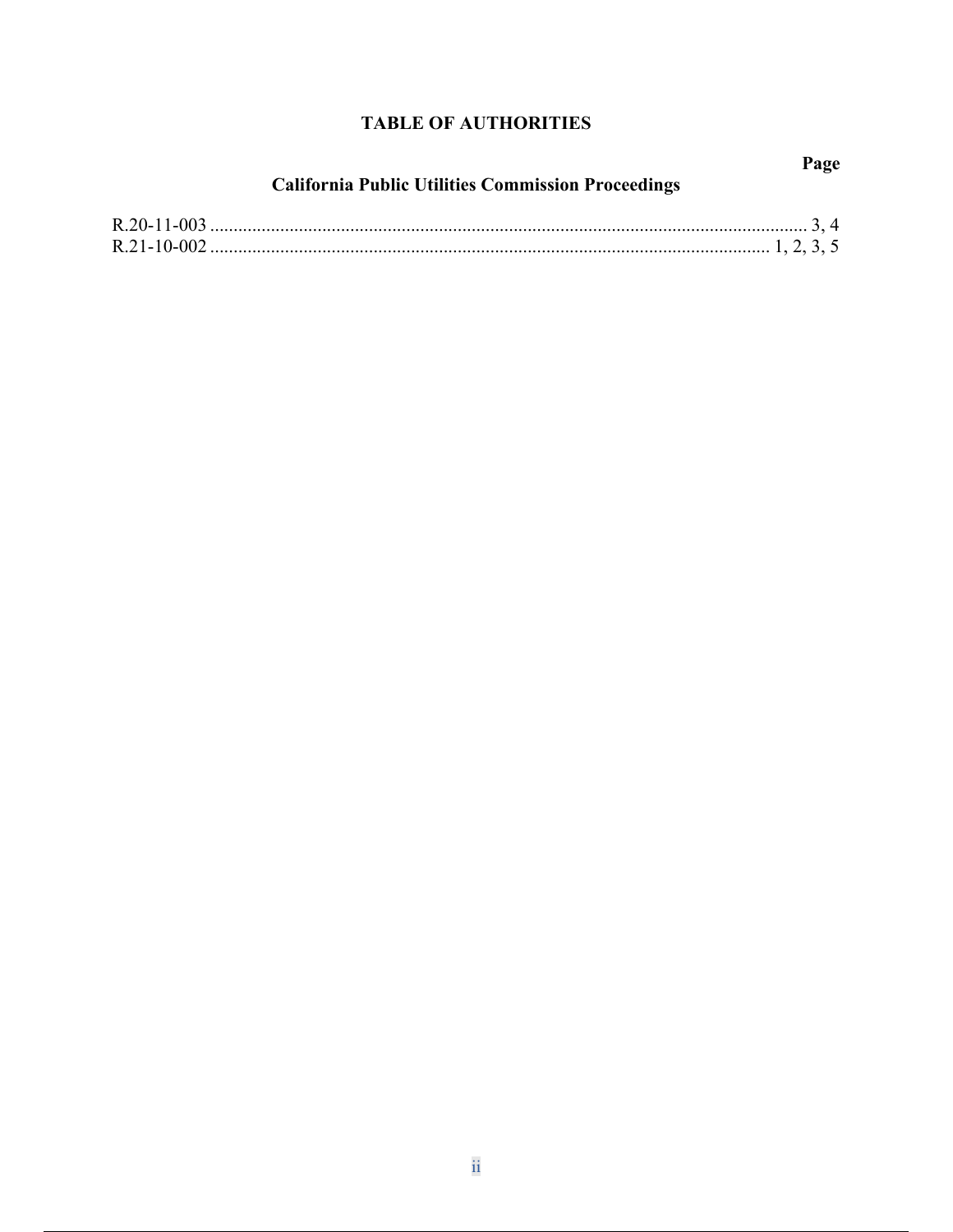## **TABLE OF AUTHORITIES**

| <b>California Public Utilities Commission Proceedings</b> | Page |
|-----------------------------------------------------------|------|
|                                                           |      |
|                                                           |      |
|                                                           |      |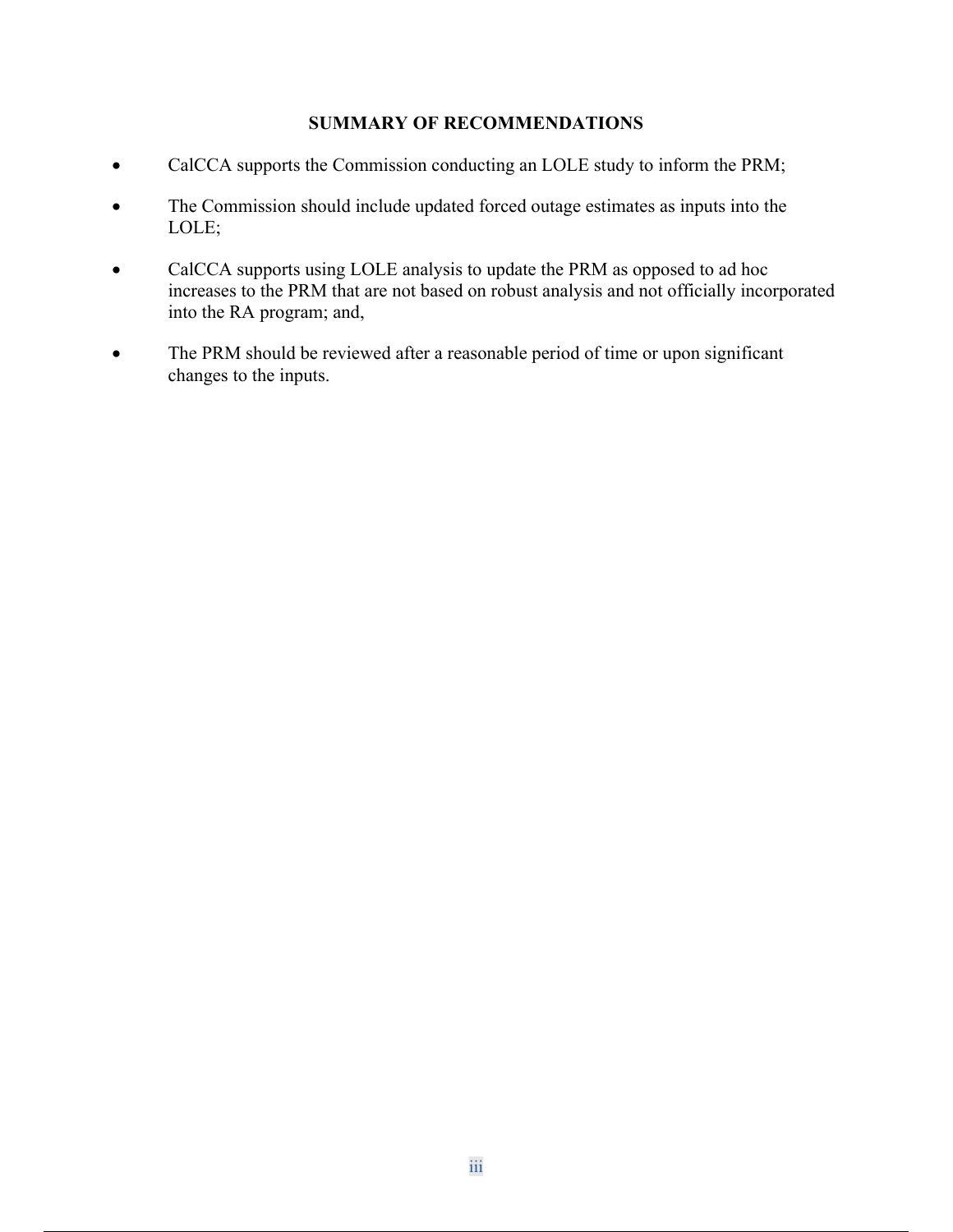### **SUMMARY OF RECOMMENDATIONS**

- CalCCA supports the Commission conducting an LOLE study to inform the PRM;
- The Commission should include updated forced outage estimates as inputs into the LOLE;
- CalCCA supports using LOLE analysis to update the PRM as opposed to ad hoc increases to the PRM that are not based on robust analysis and not officially incorporated into the RA program; and,
- The PRM should be reviewed after a reasonable period of time or upon significant changes to the inputs.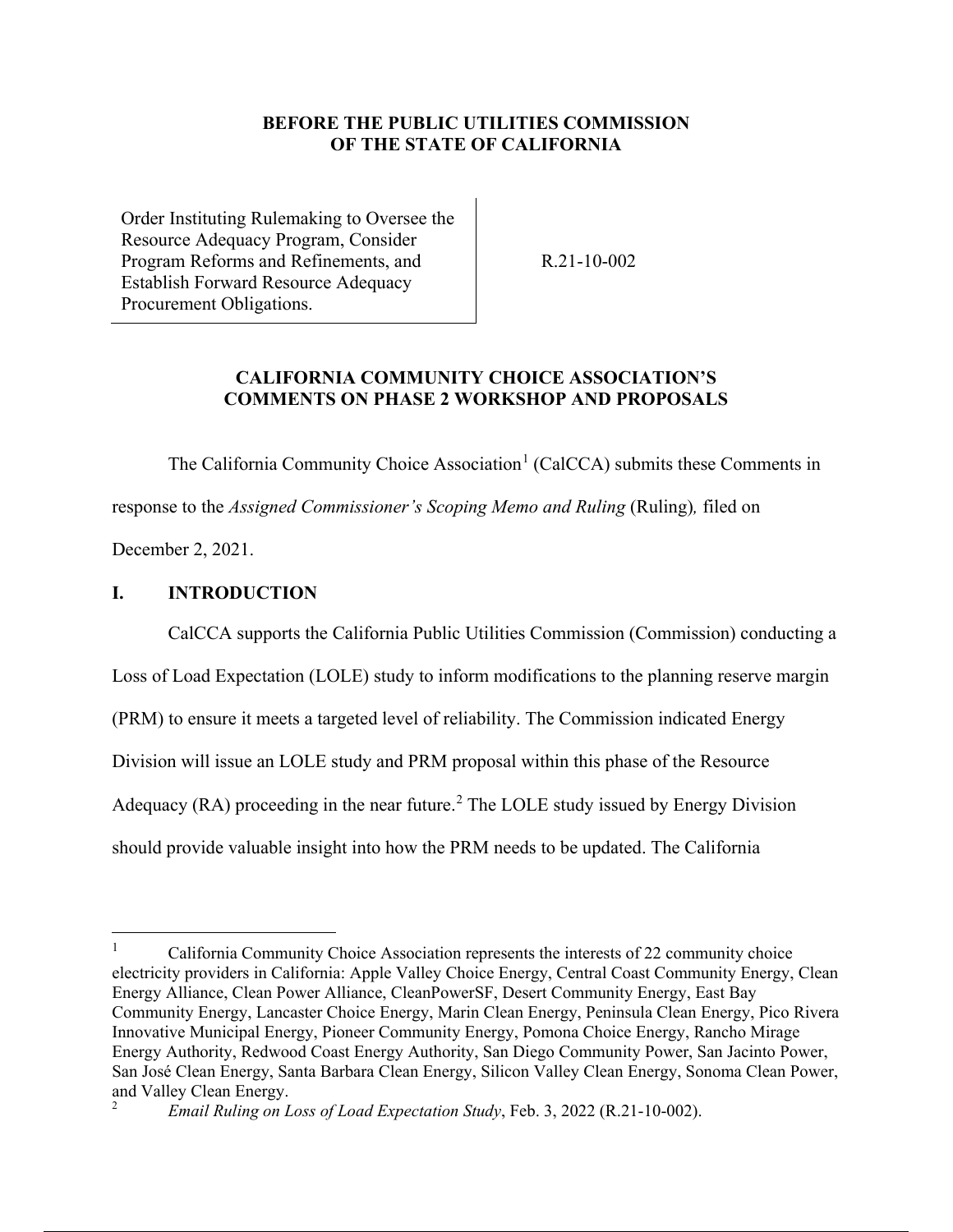### **BEFORE THE PUBLIC UTILITIES COMMISSION OF THE STATE OF CALIFORNIA**

Order Instituting Rulemaking to Oversee the Resource Adequacy Program, Consider Program Reforms and Refinements, and Establish Forward Resource Adequacy Procurement Obligations.

R.21-10-002

### **CALIFORNIA COMMUNITY CHOICE ASSOCIATION'S COMMENTS ON PHASE 2 WORKSHOP AND PROPOSALS**

The California Community Choice Association<sup>1</sup> (CalCCA) submits these Comments in response to the *Assigned Commissioner's Scoping Memo and Ruling* (Ruling)*,* filed on

December 2, 2021.

### **I. INTRODUCTION**

CalCCA supports the California Public Utilities Commission (Commission) conducting a

Loss of Load Expectation (LOLE) study to inform modifications to the planning reserve margin

(PRM) to ensure it meets a targeted level of reliability. The Commission indicated Energy

Division will issue an LOLE study and PRM proposal within this phase of the Resource

Adequacy (RA) proceeding in the near future.<sup>2</sup> The LOLE study issued by Energy Division

should provide valuable insight into how the PRM needs to be updated. The California

<sup>1</sup> California Community Choice Association represents the interests of 22 community choice electricity providers in California: Apple Valley Choice Energy, Central Coast Community Energy, Clean Energy Alliance, Clean Power Alliance, CleanPowerSF, Desert Community Energy, East Bay Community Energy, Lancaster Choice Energy, Marin Clean Energy, Peninsula Clean Energy, Pico Rivera Innovative Municipal Energy, Pioneer Community Energy, Pomona Choice Energy, Rancho Mirage Energy Authority, Redwood Coast Energy Authority, San Diego Community Power, San Jacinto Power, San José Clean Energy, Santa Barbara Clean Energy, Silicon Valley Clean Energy, Sonoma Clean Power, and Valley Clean Energy.

<sup>2</sup> *Email Ruling on Loss of Load Expectation Study*, Feb. 3, 2022 (R.21-10-002).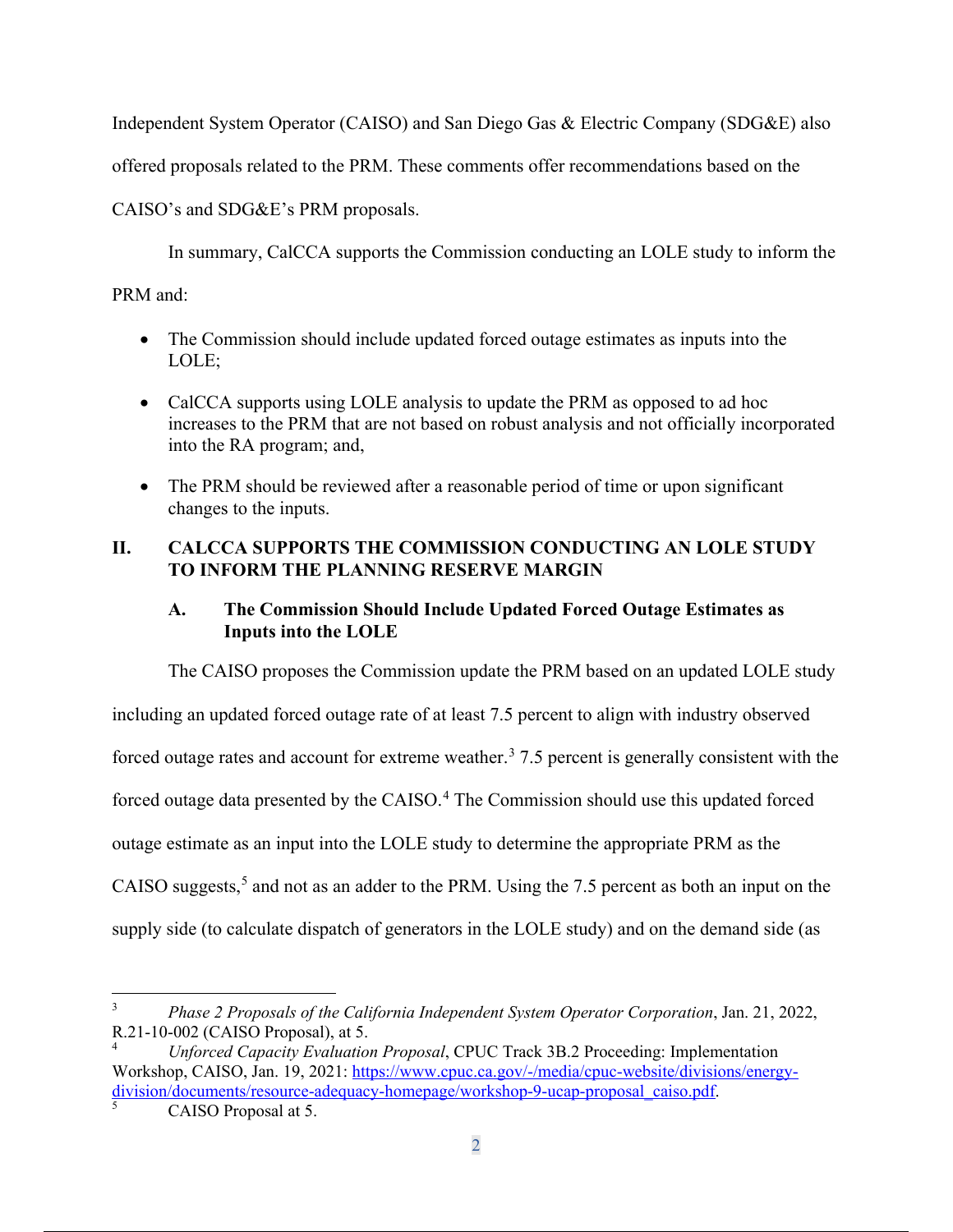Independent System Operator (CAISO) and San Diego Gas & Electric Company (SDG&E) also

offered proposals related to the PRM. These comments offer recommendations based on the

CAISO's and SDG&E's PRM proposals.

In summary, CalCCA supports the Commission conducting an LOLE study to inform the

PRM and:

- The Commission should include updated forced outage estimates as inputs into the LOLE;
- CalCCA supports using LOLE analysis to update the PRM as opposed to ad hoc increases to the PRM that are not based on robust analysis and not officially incorporated into the RA program; and,
- The PRM should be reviewed after a reasonable period of time or upon significant changes to the inputs.

## **II. CALCCA SUPPORTS THE COMMISSION CONDUCTING AN LOLE STUDY TO INFORM THE PLANNING RESERVE MARGIN**

## **A. The Commission Should Include Updated Forced Outage Estimates as Inputs into the LOLE**

The CAISO proposes the Commission update the PRM based on an updated LOLE study including an updated forced outage rate of at least 7.5 percent to align with industry observed forced outage rates and account for extreme weather.<sup>3</sup> 7.5 percent is generally consistent with the forced outage data presented by the CAISO.<sup>4</sup> The Commission should use this updated forced outage estimate as an input into the LOLE study to determine the appropriate PRM as the CAISO suggests,<sup>5</sup> and not as an adder to the PRM. Using the 7.5 percent as both an input on the supply side (to calculate dispatch of generators in the LOLE study) and on the demand side (as

<sup>3</sup> *Phase 2 Proposals of the California Independent System Operator Corporation*, Jan. 21, 2022, R.21-10-002 (CAISO Proposal), at 5.

<sup>4</sup> *Unforced Capacity Evaluation Proposal*, CPUC Track 3B.2 Proceeding: Implementation Workshop, CAISO, Jan. 19, 2021: https://www.cpuc.ca.gov/-/media/cpuc-website/divisions/energydivision/documents/resource-adequacy-homepage/workshop-9-ucap-proposal\_caiso.pdf.

CAISO Proposal at 5.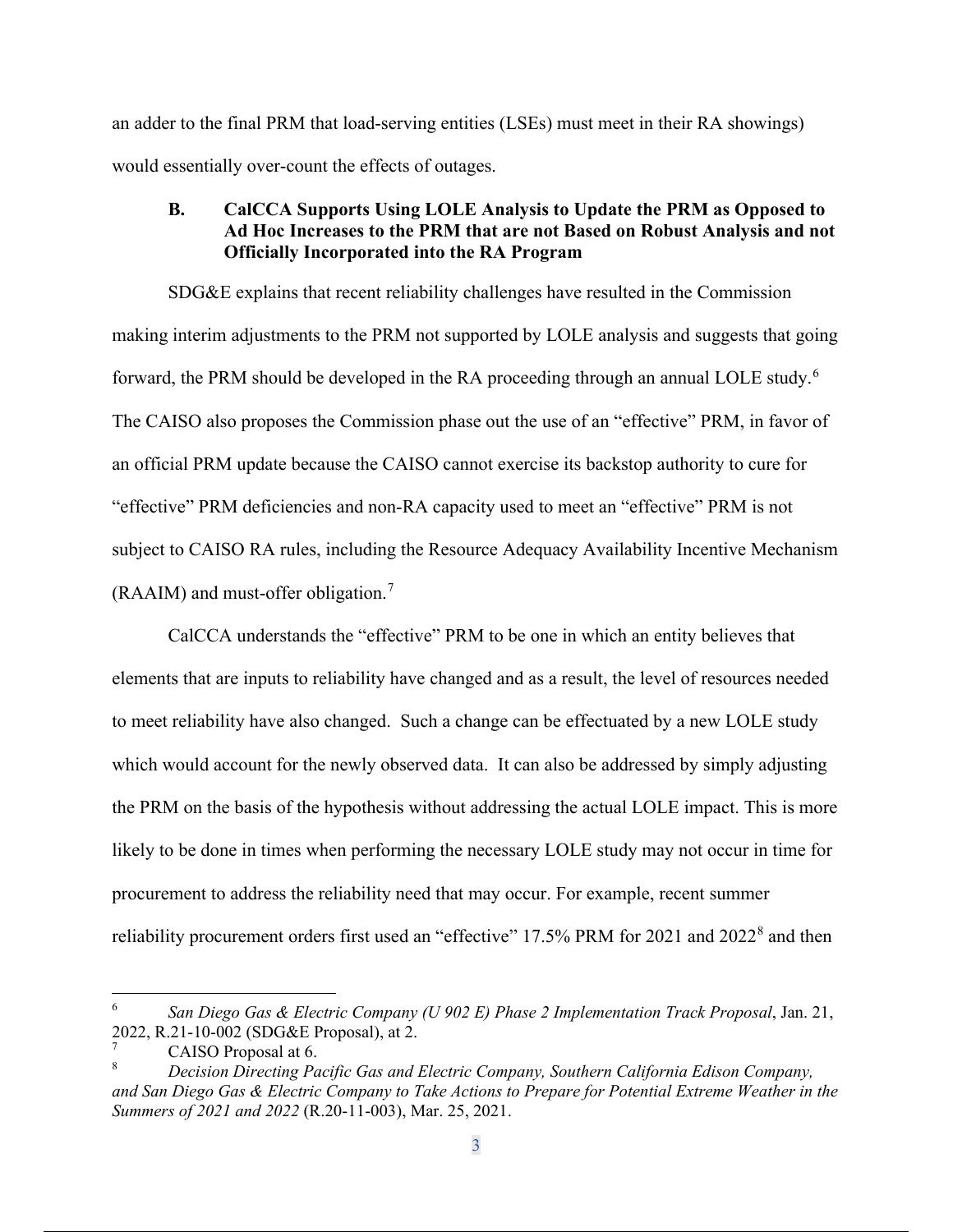an adder to the final PRM that load-serving entities (LSEs) must meet in their RA showings) would essentially over-count the effects of outages.

#### **B. CalCCA Supports Using LOLE Analysis to Update the PRM as Opposed to Ad Hoc Increases to the PRM that are not Based on Robust Analysis and not Officially Incorporated into the RA Program**

SDG&E explains that recent reliability challenges have resulted in the Commission making interim adjustments to the PRM not supported by LOLE analysis and suggests that going forward, the PRM should be developed in the RA proceeding through an annual LOLE study.<sup>6</sup> The CAISO also proposes the Commission phase out the use of an "effective" PRM, in favor of an official PRM update because the CAISO cannot exercise its backstop authority to cure for "effective" PRM deficiencies and non-RA capacity used to meet an "effective" PRM is not subject to CAISO RA rules, including the Resource Adequacy Availability Incentive Mechanism (RAAIM) and must-offer obligation.<sup>7</sup>

CalCCA understands the "effective" PRM to be one in which an entity believes that elements that are inputs to reliability have changed and as a result, the level of resources needed to meet reliability have also changed. Such a change can be effectuated by a new LOLE study which would account for the newly observed data. It can also be addressed by simply adjusting the PRM on the basis of the hypothesis without addressing the actual LOLE impact. This is more likely to be done in times when performing the necessary LOLE study may not occur in time for procurement to address the reliability need that may occur. For example, recent summer reliability procurement orders first used an "effective" 17.5% PRM for 2021 and 2022<sup>8</sup> and then

<sup>6</sup> *San Diego Gas & Electric Company (U 902 E) Phase 2 Implementation Track Proposal*, Jan. 21, 2022, R.21-10-002 (SDG&E Proposal), at 2.

<sup>7</sup> CAISO Proposal at 6.

<sup>8</sup> *Decision Directing Pacific Gas and Electric Company, Southern California Edison Company, and San Diego Gas & Electric Company to Take Actions to Prepare for Potential Extreme Weather in the Summers of 2021 and 2022* (R.20-11-003), Mar. 25, 2021.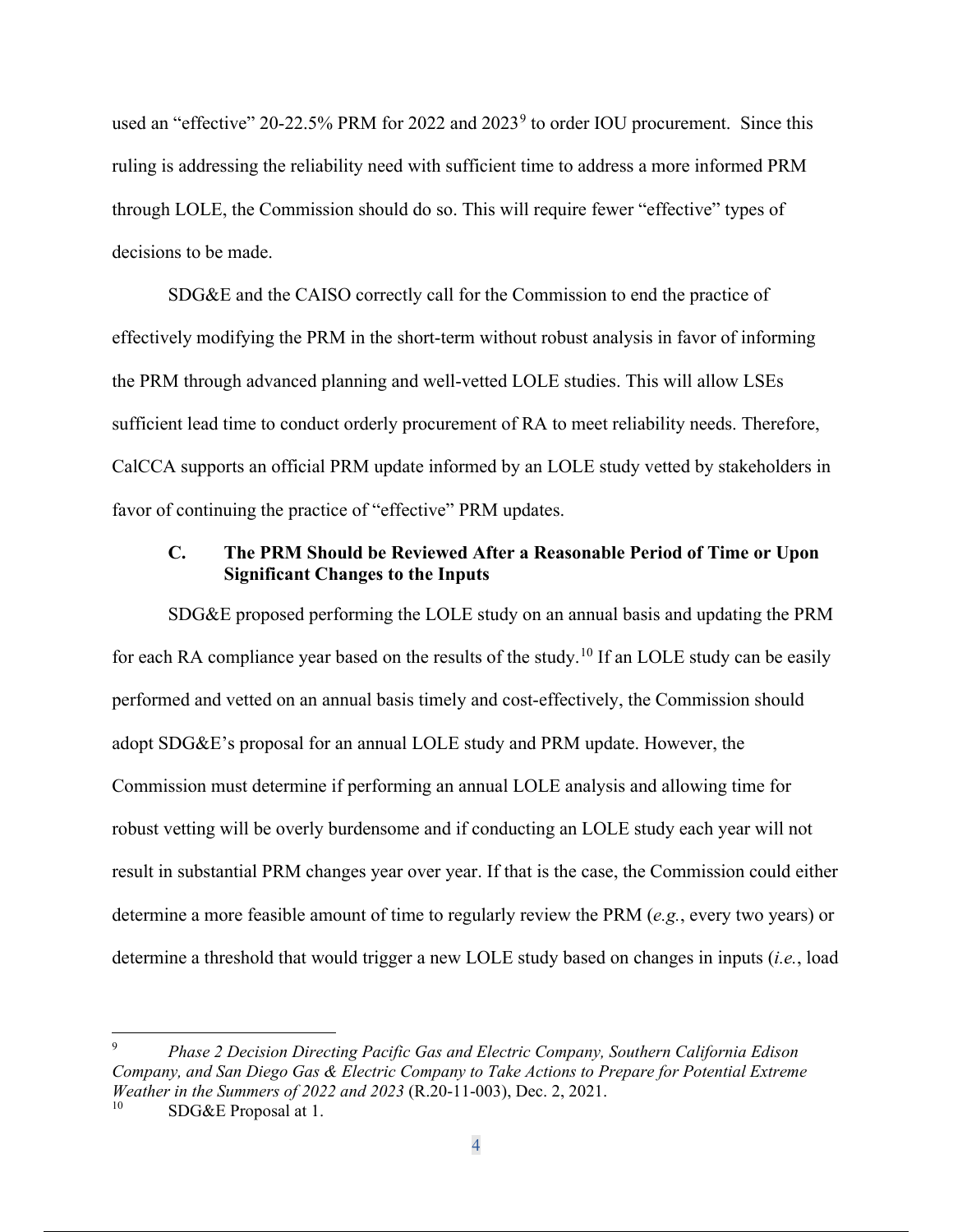used an "effective" 20-22.5% PRM for 2022 and  $2023<sup>9</sup>$  to order IOU procurement. Since this ruling is addressing the reliability need with sufficient time to address a more informed PRM through LOLE, the Commission should do so. This will require fewer "effective" types of decisions to be made.

SDG&E and the CAISO correctly call for the Commission to end the practice of effectively modifying the PRM in the short-term without robust analysis in favor of informing the PRM through advanced planning and well-vetted LOLE studies. This will allow LSEs sufficient lead time to conduct orderly procurement of RA to meet reliability needs. Therefore, CalCCA supports an official PRM update informed by an LOLE study vetted by stakeholders in favor of continuing the practice of "effective" PRM updates.

#### **C. The PRM Should be Reviewed After a Reasonable Period of Time or Upon Significant Changes to the Inputs**

SDG&E proposed performing the LOLE study on an annual basis and updating the PRM for each RA compliance year based on the results of the study.<sup>10</sup> If an LOLE study can be easily performed and vetted on an annual basis timely and cost-effectively, the Commission should adopt SDG&E's proposal for an annual LOLE study and PRM update. However, the Commission must determine if performing an annual LOLE analysis and allowing time for robust vetting will be overly burdensome and if conducting an LOLE study each year will not result in substantial PRM changes year over year. If that is the case, the Commission could either determine a more feasible amount of time to regularly review the PRM (*e.g.*, every two years) or determine a threshold that would trigger a new LOLE study based on changes in inputs (*i.e.*, load

<sup>9</sup> *Phase 2 Decision Directing Pacific Gas and Electric Company, Southern California Edison Company, and San Diego Gas & Electric Company to Take Actions to Prepare for Potential Extreme Weather in the Summers of 2022 and 2023* (R.20-11-003), Dec. 2, 2021.

SDG&E Proposal at 1.